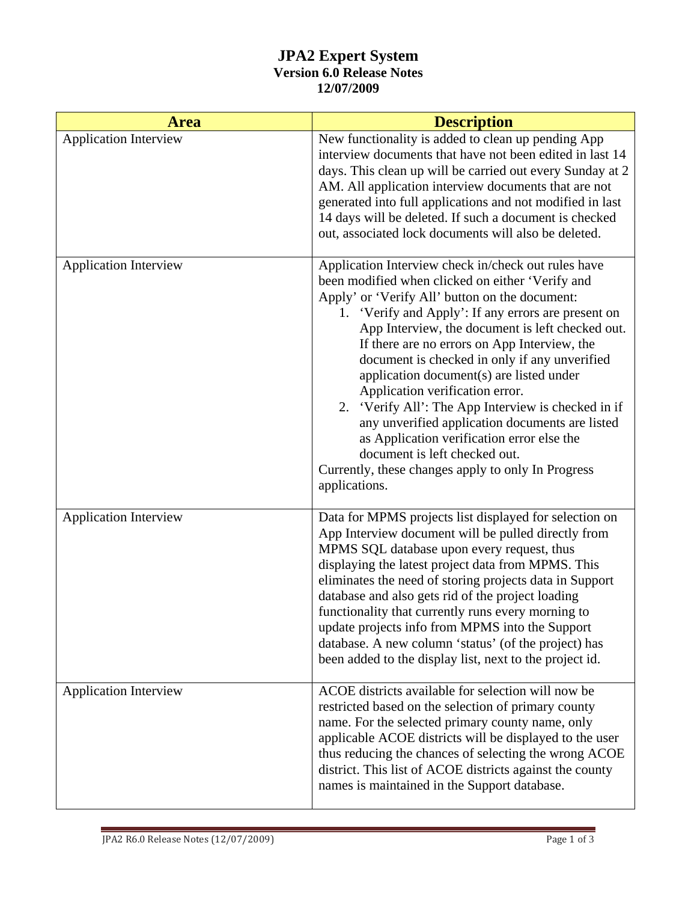## **JPA2 Expert System Version 6.0 Release Notes 12/07/2009**

| <b>Area</b>                  | <b>Description</b>                                                                                                                                                                                                                                                                                                                                                                                                                                                                                                                                                                                                                                                                                                   |
|------------------------------|----------------------------------------------------------------------------------------------------------------------------------------------------------------------------------------------------------------------------------------------------------------------------------------------------------------------------------------------------------------------------------------------------------------------------------------------------------------------------------------------------------------------------------------------------------------------------------------------------------------------------------------------------------------------------------------------------------------------|
| <b>Application Interview</b> | New functionality is added to clean up pending App<br>interview documents that have not been edited in last 14<br>days. This clean up will be carried out every Sunday at 2<br>AM. All application interview documents that are not<br>generated into full applications and not modified in last<br>14 days will be deleted. If such a document is checked<br>out, associated lock documents will also be deleted.                                                                                                                                                                                                                                                                                                   |
| <b>Application Interview</b> | Application Interview check in/check out rules have<br>been modified when clicked on either 'Verify and<br>Apply' or 'Verify All' button on the document:<br>1. 'Verify and Apply': If any errors are present on<br>App Interview, the document is left checked out.<br>If there are no errors on App Interview, the<br>document is checked in only if any unverified<br>application document(s) are listed under<br>Application verification error.<br>2. 'Verify All': The App Interview is checked in if<br>any unverified application documents are listed<br>as Application verification error else the<br>document is left checked out.<br>Currently, these changes apply to only In Progress<br>applications. |
| <b>Application Interview</b> | Data for MPMS projects list displayed for selection on<br>App Interview document will be pulled directly from<br>MPMS SQL database upon every request, thus<br>displaying the latest project data from MPMS. This<br>eliminates the need of storing projects data in Support<br>database and also gets rid of the project loading<br>functionality that currently runs every morning to<br>update projects info from MPMS into the Support<br>database. A new column 'status' (of the project) has<br>been added to the display list, next to the project id.                                                                                                                                                        |
| <b>Application Interview</b> | ACOE districts available for selection will now be<br>restricted based on the selection of primary county<br>name. For the selected primary county name, only<br>applicable ACOE districts will be displayed to the user<br>thus reducing the chances of selecting the wrong ACOE<br>district. This list of ACOE districts against the county<br>names is maintained in the Support database.                                                                                                                                                                                                                                                                                                                        |

Ľ,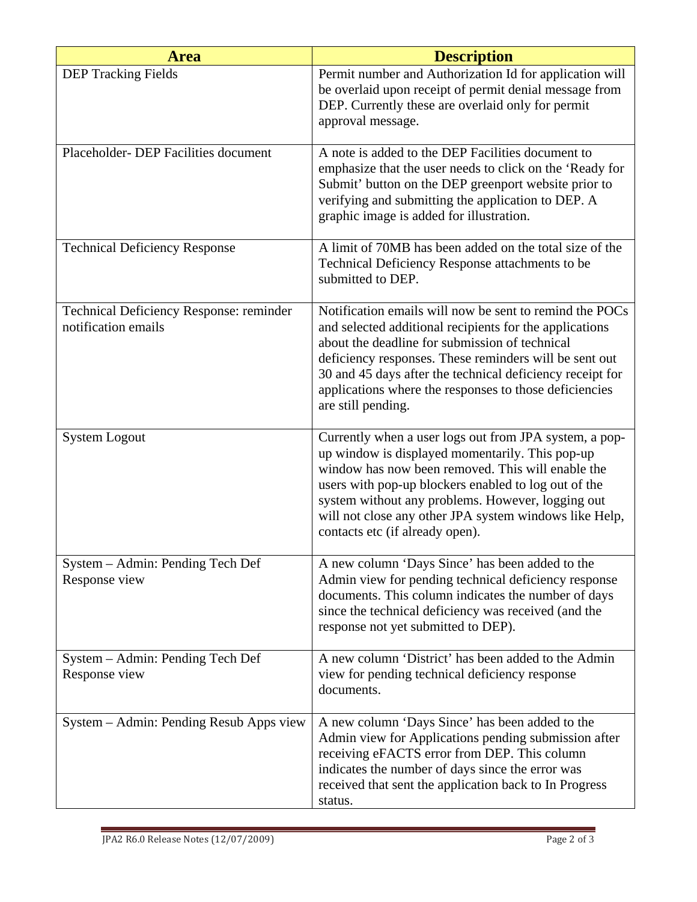| <b>Area</b>                                                    | <b>Description</b>                                                                                                                                                                                                                                                                                                                                                          |
|----------------------------------------------------------------|-----------------------------------------------------------------------------------------------------------------------------------------------------------------------------------------------------------------------------------------------------------------------------------------------------------------------------------------------------------------------------|
| <b>DEP Tracking Fields</b>                                     | Permit number and Authorization Id for application will<br>be overlaid upon receipt of permit denial message from<br>DEP. Currently these are overlaid only for permit<br>approval message.                                                                                                                                                                                 |
| Placeholder- DEP Facilities document                           | A note is added to the DEP Facilities document to<br>emphasize that the user needs to click on the 'Ready for<br>Submit' button on the DEP greenport website prior to<br>verifying and submitting the application to DEP. A<br>graphic image is added for illustration.                                                                                                     |
| <b>Technical Deficiency Response</b>                           | A limit of 70MB has been added on the total size of the<br>Technical Deficiency Response attachments to be<br>submitted to DEP.                                                                                                                                                                                                                                             |
| Technical Deficiency Response: reminder<br>notification emails | Notification emails will now be sent to remind the POCs<br>and selected additional recipients for the applications<br>about the deadline for submission of technical<br>deficiency responses. These reminders will be sent out<br>30 and 45 days after the technical deficiency receipt for<br>applications where the responses to those deficiencies<br>are still pending. |
| <b>System Logout</b>                                           | Currently when a user logs out from JPA system, a pop-<br>up window is displayed momentarily. This pop-up<br>window has now been removed. This will enable the<br>users with pop-up blockers enabled to log out of the<br>system without any problems. However, logging out<br>will not close any other JPA system windows like Help,<br>contacts etc (if already open).    |
| System – Admin: Pending Tech Def<br>Response view              | A new column 'Days Since' has been added to the<br>Admin view for pending technical deficiency response<br>documents. This column indicates the number of days<br>since the technical deficiency was received (and the<br>response not yet submitted to DEP).                                                                                                               |
| System – Admin: Pending Tech Def<br>Response view              | A new column 'District' has been added to the Admin<br>view for pending technical deficiency response<br>documents.                                                                                                                                                                                                                                                         |
| System – Admin: Pending Resub Apps view                        | A new column 'Days Since' has been added to the<br>Admin view for Applications pending submission after<br>receiving eFACTS error from DEP. This column<br>indicates the number of days since the error was<br>received that sent the application back to In Progress<br>status.                                                                                            |